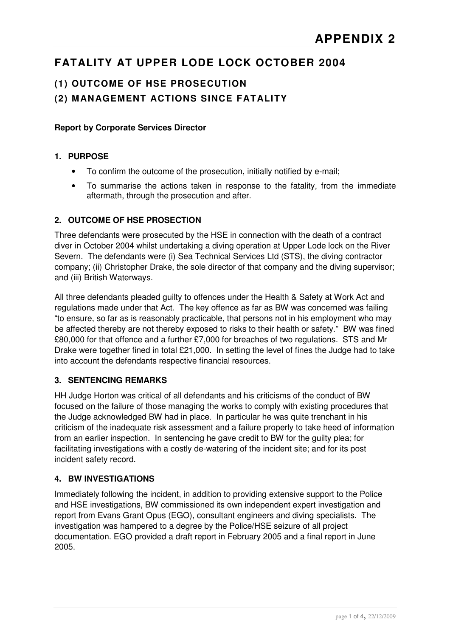# **FATALITY AT UPPER LODE LOCK OCTOBER 2004**

# **(1) OUTCOME OF HSE PROSECUTION**

### **(2) MANAGEMENT ACTIONS SINCE FATALITY**

#### **Report by Corporate Services Director**

#### **1. PURPOSE**

- To confirm the outcome of the prosecution, initially notified by e-mail;
- To summarise the actions taken in response to the fatality, from the immediate aftermath, through the prosecution and after.

#### **2. OUTCOME OF HSE PROSECTION**

Three defendants were prosecuted by the HSE in connection with the death of a contract diver in October 2004 whilst undertaking a diving operation at Upper Lode lock on the River Severn. The defendants were (i) Sea Technical Services Ltd (STS), the diving contractor company; (ii) Christopher Drake, the sole director of that company and the diving supervisor; and (iii) British Waterways.

All three defendants pleaded guilty to offences under the Health & Safety at Work Act and regulations made under that Act. The key offence as far as BW was concerned was failing "to ensure, so far as is reasonably practicable, that persons not in his employment who may be affected thereby are not thereby exposed to risks to their health or safety." BW was fined £80,000 for that offence and a further £7,000 for breaches of two regulations. STS and Mr Drake were together fined in total £21,000. In setting the level of fines the Judge had to take into account the defendants respective financial resources.

#### **3. SENTENCING REMARKS**

HH Judge Horton was critical of all defendants and his criticisms of the conduct of BW focused on the failure of those managing the works to comply with existing procedures that the Judge acknowledged BW had in place. In particular he was quite trenchant in his criticism of the inadequate risk assessment and a failure properly to take heed of information from an earlier inspection. In sentencing he gave credit to BW for the guilty plea; for facilitating investigations with a costly de-watering of the incident site; and for its post incident safety record.

#### **4. BW INVESTIGATIONS**

Immediately following the incident, in addition to providing extensive support to the Police and HSE investigations, BW commissioned its own independent expert investigation and report from Evans Grant Opus (EGO), consultant engineers and diving specialists. The investigation was hampered to a degree by the Police/HSE seizure of all project documentation. EGO provided a draft report in February 2005 and a final report in June 2005.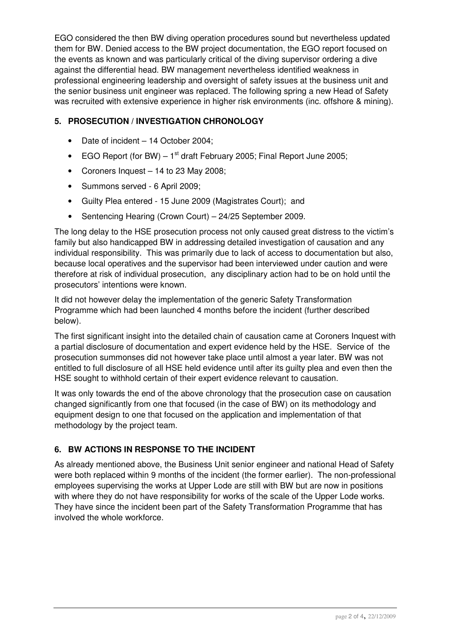EGO considered the then BW diving operation procedures sound but nevertheless updated them for BW. Denied access to the BW project documentation, the EGO report focused on the events as known and was particularly critical of the diving supervisor ordering a dive against the differential head. BW management nevertheless identified weakness in professional engineering leadership and oversight of safety issues at the business unit and the senior business unit engineer was replaced. The following spring a new Head of Safety was recruited with extensive experience in higher risk environments (inc. offshore & mining).

### **5. PROSECUTION / INVESTIGATION CHRONOLOGY**

- Date of incident 14 October 2004;
- EGO Report (for BW)  $-1$ <sup>st</sup> draft February 2005; Final Report June 2005;
- Coroners Inquest 14 to 23 May 2008;
- Summons served 6 April 2009;
- Guilty Plea entered 15 June 2009 (Magistrates Court); and
- Sentencing Hearing (Crown Court) 24/25 September 2009.

The long delay to the HSE prosecution process not only caused great distress to the victim's family but also handicapped BW in addressing detailed investigation of causation and any individual responsibility. This was primarily due to lack of access to documentation but also, because local operatives and the supervisor had been interviewed under caution and were therefore at risk of individual prosecution, any disciplinary action had to be on hold until the prosecutors' intentions were known.

It did not however delay the implementation of the generic Safety Transformation Programme which had been launched 4 months before the incident (further described below).

The first significant insight into the detailed chain of causation came at Coroners Inquest with a partial disclosure of documentation and expert evidence held by the HSE. Service of the prosecution summonses did not however take place until almost a year later. BW was not entitled to full disclosure of all HSE held evidence until after its guilty plea and even then the HSE sought to withhold certain of their expert evidence relevant to causation.

It was only towards the end of the above chronology that the prosecution case on causation changed significantly from one that focused (in the case of BW) on its methodology and equipment design to one that focused on the application and implementation of that methodology by the project team.

## **6. BW ACTIONS IN RESPONSE TO THE INCIDENT**

As already mentioned above, the Business Unit senior engineer and national Head of Safety were both replaced within 9 months of the incident (the former earlier). The non-professional employees supervising the works at Upper Lode are still with BW but are now in positions with where they do not have responsibility for works of the scale of the Upper Lode works. They have since the incident been part of the Safety Transformation Programme that has involved the whole workforce.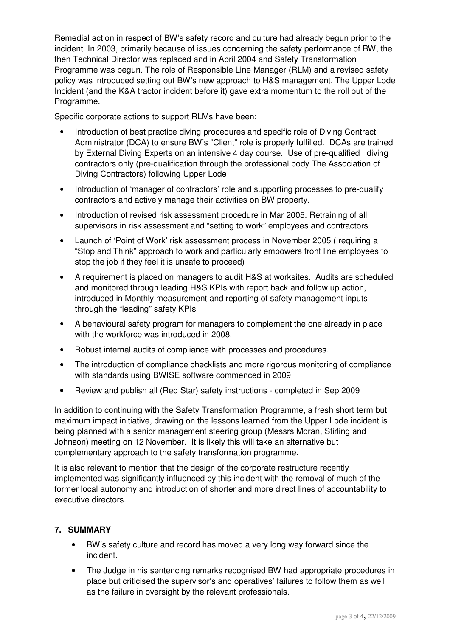Remedial action in respect of BW's safety record and culture had already begun prior to the incident. In 2003, primarily because of issues concerning the safety performance of BW, the then Technical Director was replaced and in April 2004 and Safety Transformation Programme was begun. The role of Responsible Line Manager (RLM) and a revised safety policy was introduced setting out BW's new approach to H&S management. The Upper Lode Incident (and the K&A tractor incident before it) gave extra momentum to the roll out of the Programme.

Specific corporate actions to support RLMs have been:

- Introduction of best practice diving procedures and specific role of Diving Contract Administrator (DCA) to ensure BW's "Client" role is properly fulfilled. DCAs are trained by External Diving Experts on an intensive 4 day course. Use of pre-qualified diving contractors only (pre-qualification through the professional body The Association of Diving Contractors) following Upper Lode
- Introduction of 'manager of contractors' role and supporting processes to pre-qualify contractors and actively manage their activities on BW property.
- Introduction of revised risk assessment procedure in Mar 2005. Retraining of all supervisors in risk assessment and "setting to work" employees and contractors
- Launch of 'Point of Work' risk assessment process in November 2005 ( requiring a "Stop and Think" approach to work and particularly empowers front line employees to stop the job if they feel it is unsafe to proceed)
- A requirement is placed on managers to audit H&S at worksites. Audits are scheduled and monitored through leading H&S KPIs with report back and follow up action, introduced in Monthly measurement and reporting of safety management inputs through the "leading" safety KPIs
- A behavioural safety program for managers to complement the one already in place with the workforce was introduced in 2008.
- Robust internal audits of compliance with processes and procedures.
- The introduction of compliance checklists and more rigorous monitoring of compliance with standards using BWISE software commenced in 2009
- Review and publish all (Red Star) safety instructions completed in Sep 2009

In addition to continuing with the Safety Transformation Programme, a fresh short term but maximum impact initiative, drawing on the lessons learned from the Upper Lode incident is being planned with a senior management steering group (Messrs Moran, Stirling and Johnson) meeting on 12 November. It is likely this will take an alternative but complementary approach to the safety transformation programme.

It is also relevant to mention that the design of the corporate restructure recently implemented was significantly influenced by this incident with the removal of much of the former local autonomy and introduction of shorter and more direct lines of accountability to executive directors.

#### **7. SUMMARY**

- BW's safety culture and record has moved a very long way forward since the incident.
- The Judge in his sentencing remarks recognised BW had appropriate procedures in place but criticised the supervisor's and operatives' failures to follow them as well as the failure in oversight by the relevant professionals.